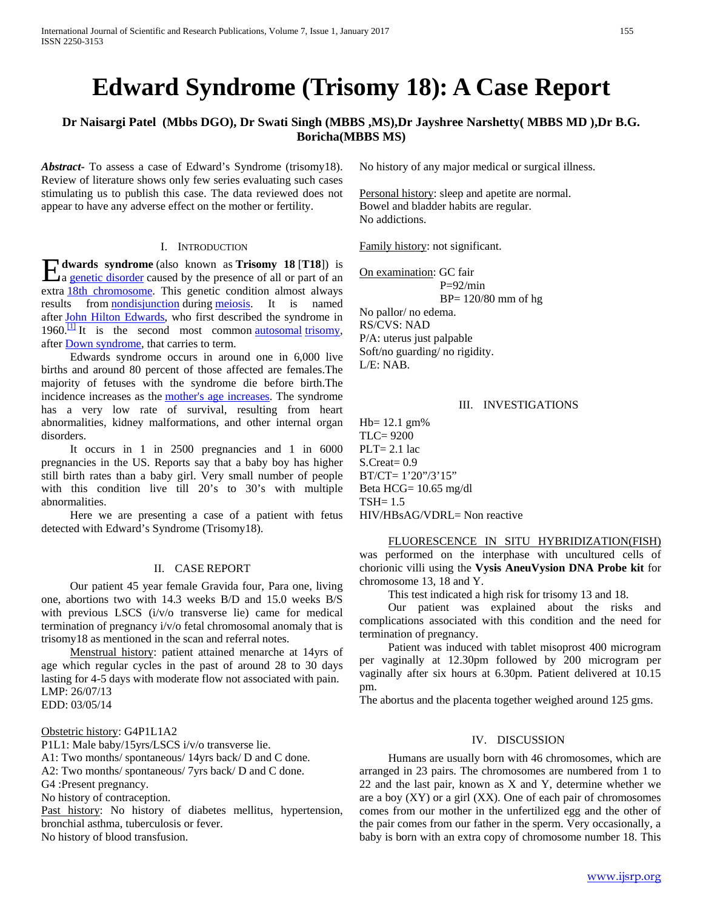# **Edward Syndrome (Trisomy 18): A Case Report**

# **Dr Naisargi Patel (Mbbs DGO), Dr Swati Singh (MBBS ,MS),Dr Jayshree Narshetty( MBBS MD ),Dr B.G. Boricha(MBBS MS)**

*Abstract***-** To assess a case of Edward's Syndrome (trisomy18). Review of literature shows only few series evaluating such cases stimulating us to publish this case. The data reviewed does not appear to have any adverse effect on the mother or fertility.

## I. INTRODUCTION

**dwards syndrome** (also known as **Trisomy 18** [**T18**]) is a <u>genetic disorder</u> caused by the presence of all or part of an a [genetic disorder](http://en.wikipedia.org/wiki/Genetic_disorder) caused by the presence of all or part of an extra [18th chromosome.](http://en.wikipedia.org/wiki/Chromosome_18_(human)) This genetic condition almost always results from **[nondisjunction](http://en.wikipedia.org/wiki/Nondisjunction)** during [meiosis.](http://en.wikipedia.org/wiki/Meiosis) It is named after [John Hilton Edwards,](http://en.wikipedia.org/wiki/John_Hilton_Edwards) who first described the syndrome in 1960. $\frac{11}{1}$  It is the second most common [autosomal](http://en.wikipedia.org/wiki/Autosome) trisomy, after [Down syndrome,](http://en.wikipedia.org/wiki/Down_syndrome) that carries to term.

 Edwards syndrome occurs in around one in 6,000 live births and around 80 percent of those affected are females.The majority of fetuses with the syndrome die before birth.The incidence increases as the [mother's age increases.](http://en.wikipedia.org/wiki/Advanced_maternal_age) The syndrome has a very low rate of survival, resulting from heart abnormalities, kidney malformations, and other internal organ disorders.

 It occurs in 1 in 2500 pregnancies and 1 in 6000 pregnancies in the US. Reports say that a baby boy has higher still birth rates than a baby girl. Very small number of people with this condition live till 20's to 30's with multiple abnormalities.

 Here we are presenting a case of a patient with fetus detected with Edward's Syndrome (Trisomy18).

#### II. CASE REPORT

 Our patient 45 year female Gravida four, Para one, living one, abortions two with 14.3 weeks B/D and 15.0 weeks B/S with previous LSCS (i/v/o transverse lie) came for medical termination of pregnancy i/v/o fetal chromosomal anomaly that is trisomy18 as mentioned in the scan and referral notes.

 Menstrual history: patient attained menarche at 14yrs of age which regular cycles in the past of around 28 to 30 days lasting for 4-5 days with moderate flow not associated with pain. LMP: 26/07/13 EDD: 03/05/14

Obstetric history: G4P1L1A2

P1L1: Male baby/15yrs/LSCS i/v/o transverse lie.

A1: Two months/ spontaneous/ 14yrs back/ D and C done.

A2: Two months/ spontaneous/ 7yrs back/ D and C done.

G4 :Present pregnancy.

No history of contraception.

Past history: No history of diabetes mellitus, hypertension, bronchial asthma, tuberculosis or fever.

No history of blood transfusion.

No history of any major medical or surgical illness.

Personal history: sleep and apetite are normal. Bowel and bladder habits are regular. No addictions.

Family history: not significant.

On examination: GC fair  $P=92/min$ 

BP= 120/80 mm of hg

No pallor/ no edema.

RS/CVS: NAD P/A: uterus just palpable Soft/no guarding/ no rigidity. L/E: NAB.

## III. INVESTIGATIONS

 $Hb = 12.1$  gm% TLC= 9200  $PLT = 2.1$  lac S.Creat= 0.9 BT/CT= 1'20"/3'15" Beta HCG= 10.65 mg/dl TSH= 1.5 HIV/HBsAG/VDRL= Non reactive

 FLUORESCENCE IN SITU HYBRIDIZATION(FISH) was performed on the interphase with uncultured cells of chorionic villi using the **Vysis AneuVysion DNA Probe kit** for chromosome 13, 18 and Y.

This test indicated a high risk for trisomy 13 and 18.

 Our patient was explained about the risks and complications associated with this condition and the need for termination of pregnancy.

 Patient was induced with tablet misoprost 400 microgram per vaginally at 12.30pm followed by 200 microgram per vaginally after six hours at 6.30pm. Patient delivered at 10.15 pm.

The abortus and the placenta together weighed around 125 gms.

# IV. DISCUSSION

 Humans are usually born with 46 chromosomes, which are arranged in 23 pairs. The chromosomes are numbered from 1 to 22 and the last pair, known as X and Y, determine whether we are a boy (XY) or a girl (XX). One of each pair of chromosomes comes from our mother in the unfertilized egg and the other of the pair comes from our father in the sperm. Very occasionally, a baby is born with an extra copy of chromosome number 18. This